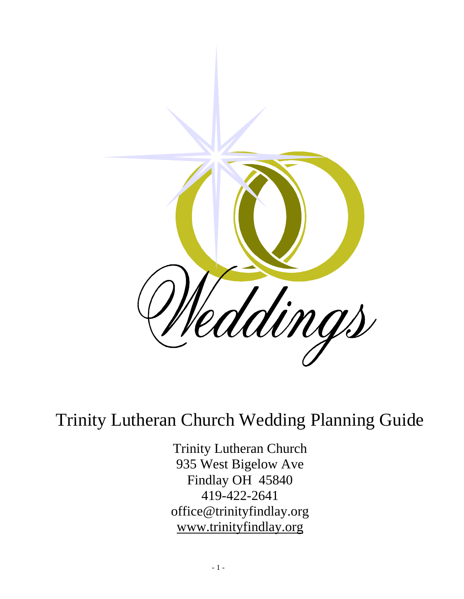

## Trinity Lutheran Church Wedding Planning Guide

Trinity Lutheran Church 935 West Bigelow Ave Findlay OH 45840 419-422-2641 office@trinityfindlay.org www.trinityfindlay.org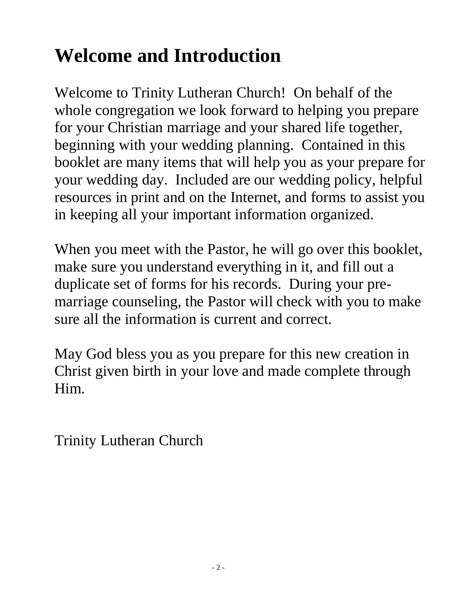# **Welcome and Introduction**

Welcome to Trinity Lutheran Church! On behalf of the whole congregation we look forward to helping you prepare for your Christian marriage and your shared life together, beginning with your wedding planning. Contained in this booklet are many items that will help you as your prepare for your wedding day. Included are our wedding policy, helpful resources in print and on the Internet, and forms to assist you in keeping all your important information organized.

When you meet with the Pastor, he will go over this booklet, make sure you understand everything in it, and fill out a duplicate set of forms for his records. During your premarriage counseling, the Pastor will check with you to make sure all the information is current and correct.

May God bless you as you prepare for this new creation in Christ given birth in your love and made complete through Him.

Trinity Lutheran Church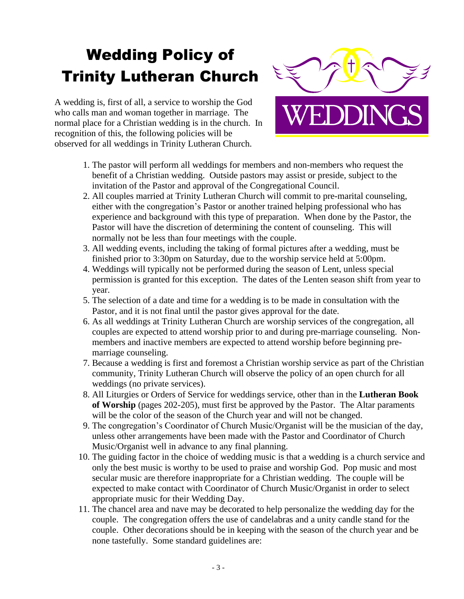# Wedding Policy of Trinity Lutheran Church

A wedding is, first of all, a service to worship the God who calls man and woman together in marriage. The normal place for a Christian wedding is in the church. In recognition of this, the following policies will be observed for all weddings in Trinity Lutheran Church.



- 1. The pastor will perform all weddings for members and non-members who request the benefit of a Christian wedding. Outside pastors may assist or preside, subject to the invitation of the Pastor and approval of the Congregational Council.
- 2. All couples married at Trinity Lutheran Church will commit to pre-marital counseling, either with the congregation's Pastor or another trained helping professional who has experience and background with this type of preparation. When done by the Pastor, the Pastor will have the discretion of determining the content of counseling. This will normally not be less than four meetings with the couple.
- 3. All wedding events, including the taking of formal pictures after a wedding, must be finished prior to 3:30pm on Saturday, due to the worship service held at 5:00pm.
- 4. Weddings will typically not be performed during the season of Lent, unless special permission is granted for this exception. The dates of the Lenten season shift from year to year.
- 5. The selection of a date and time for a wedding is to be made in consultation with the Pastor, and it is not final until the pastor gives approval for the date.
- 6. As all weddings at Trinity Lutheran Church are worship services of the congregation, all couples are expected to attend worship prior to and during pre-marriage counseling. Nonmembers and inactive members are expected to attend worship before beginning premarriage counseling.
- 7. Because a wedding is first and foremost a Christian worship service as part of the Christian community, Trinity Lutheran Church will observe the policy of an open church for all weddings (no private services).
- 8. All Liturgies or Orders of Service for weddings service, other than in the **Lutheran Book of Worship** (pages 202-205), must first be approved by the Pastor. The Altar paraments will be the color of the season of the Church year and will not be changed.
- 9. The congregation's Coordinator of Church Music/Organist will be the musician of the day, unless other arrangements have been made with the Pastor and Coordinator of Church Music/Organist well in advance to any final planning.
- 10. The guiding factor in the choice of wedding music is that a wedding is a church service and only the best music is worthy to be used to praise and worship God. Pop music and most secular music are therefore inappropriate for a Christian wedding. The couple will be expected to make contact with Coordinator of Church Music/Organist in order to select appropriate music for their Wedding Day.
- 11. The chancel area and nave may be decorated to help personalize the wedding day for the couple. The congregation offers the use of candelabras and a unity candle stand for the couple. Other decorations should be in keeping with the season of the church year and be none tastefully. Some standard guidelines are: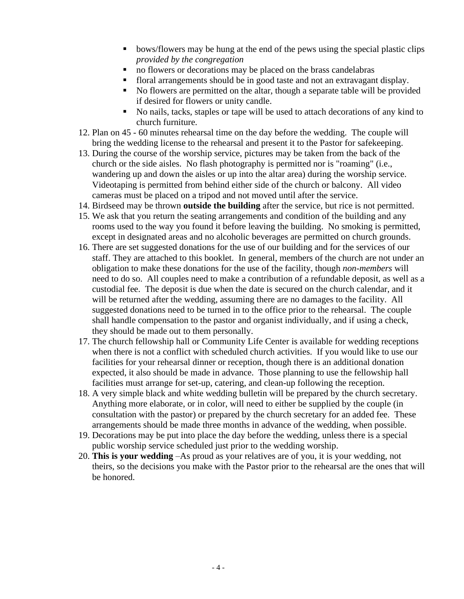- bows/flowers may be hung at the end of the pews using the special plastic clips *provided by the congregation*
- no flowers or decorations may be placed on the brass candelabras
- floral arrangements should be in good taste and not an extravagant display.
- No flowers are permitted on the altar, though a separate table will be provided if desired for flowers or unity candle.
- No nails, tacks, staples or tape will be used to attach decorations of any kind to church furniture.
- 12. Plan on 45 60 minutes rehearsal time on the day before the wedding. The couple will bring the wedding license to the rehearsal and present it to the Pastor for safekeeping.
- 13. During the course of the worship service, pictures may be taken from the back of the church or the side aisles. No flash photography is permitted nor is "roaming" (i.e., wandering up and down the aisles or up into the altar area) during the worship service. Videotaping is permitted from behind either side of the church or balcony. All video cameras must be placed on a tripod and not moved until after the service.
- 14. Birdseed may be thrown **outside the building** after the service, but rice is not permitted.
- 15. We ask that you return the seating arrangements and condition of the building and any rooms used to the way you found it before leaving the building. No smoking is permitted, except in designated areas and no alcoholic beverages are permitted on church grounds.
- 16. There are set suggested donations for the use of our building and for the services of our staff. They are attached to this booklet. In general, members of the church are not under an obligation to make these donations for the use of the facility, though *non-members* will need to do so. All couples need to make a contribution of a refundable deposit, as well as a custodial fee. The deposit is due when the date is secured on the church calendar, and it will be returned after the wedding, assuming there are no damages to the facility. All suggested donations need to be turned in to the office prior to the rehearsal. The couple shall handle compensation to the pastor and organist individually, and if using a check, they should be made out to them personally.
- 17. The church fellowship hall or Community Life Center is available for wedding receptions when there is not a conflict with scheduled church activities. If you would like to use our facilities for your rehearsal dinner or reception, though there is an additional donation expected, it also should be made in advance. Those planning to use the fellowship hall facilities must arrange for set-up, catering, and clean-up following the reception.
- 18. A very simple black and white wedding bulletin will be prepared by the church secretary. Anything more elaborate, or in color, will need to either be supplied by the couple (in consultation with the pastor) or prepared by the church secretary for an added fee. These arrangements should be made three months in advance of the wedding, when possible.
- 19. Decorations may be put into place the day before the wedding, unless there is a special public worship service scheduled just prior to the wedding worship.
- 20. **This is your wedding** –As proud as your relatives are of you, it is your wedding, not theirs, so the decisions you make with the Pastor prior to the rehearsal are the ones that will be honored.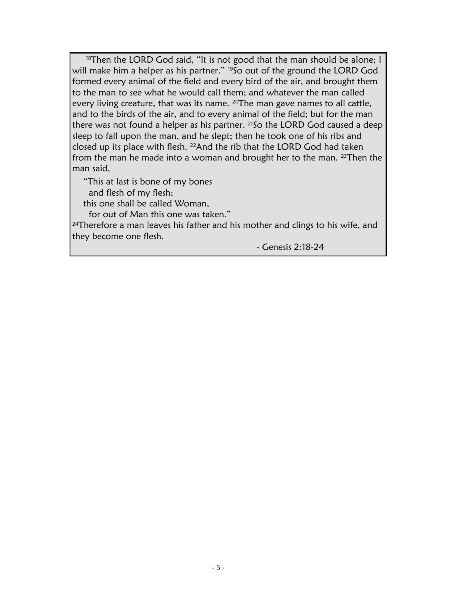<sup>18</sup>Then the LORD God said, "It is not good that the man should be alone; I will make him a helper as his partner." <sup>19</sup>So out of the ground the LORD God formed every animal of the field and every bird of the air, and brought them to the man to see what he would call them; and whatever the man called every living creature, that was its name. <sup>20</sup>The man gave names to all cattle, and to the birds of the air, and to every animal of the field; but for the man there was not found a helper as his partner. <sup>21</sup>So the LORD God caused a deep sleep to fall upon the man, and he slept; then he took one of his ribs and closed up its place with flesh. 22And the rib that the LORD God had taken from the man he made into a woman and brought her to the man. 23Then the man said,

"This at last is bone of my bones

and flesh of my flesh;

this one shall be called Woman,

for out of Man this one was taken."

<sup>24</sup>Therefore a man leaves his father and his mother and clings to his wife, and they become one flesh.

- Genesis 2:18-24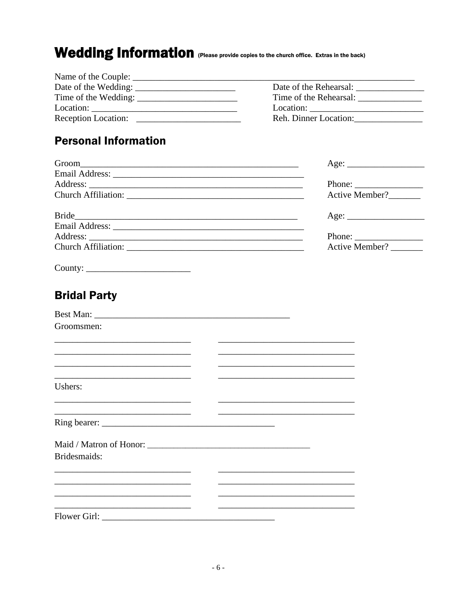### Wedding Information (Please provide copies to the church office. Extras in the back)

| Name of the Couple: | <u> 1980 - John Stone, Amerikaanse kommunister († 1950)</u> |
|---------------------|-------------------------------------------------------------|
|                     | Date of the Rehearsal:                                      |
|                     | Time of the Rehearsal:                                      |
|                     |                                                             |
| Reception Location: | Reh. Dinner Location:                                       |
|                     |                                                             |

### **Personal Information**

|                                                                                           | Age:                                                                                                                  |
|-------------------------------------------------------------------------------------------|-----------------------------------------------------------------------------------------------------------------------|
|                                                                                           |                                                                                                                       |
|                                                                                           |                                                                                                                       |
|                                                                                           | Active Member?                                                                                                        |
|                                                                                           | Age:                                                                                                                  |
|                                                                                           |                                                                                                                       |
|                                                                                           | Phone:                                                                                                                |
| Church Affiliation:                                                                       | Active Member?                                                                                                        |
|                                                                                           |                                                                                                                       |
|                                                                                           |                                                                                                                       |
| <b>Bridal Party</b>                                                                       |                                                                                                                       |
|                                                                                           |                                                                                                                       |
| Groomsmen:                                                                                |                                                                                                                       |
|                                                                                           |                                                                                                                       |
| <u> 1989 - Johann John Stone, mars et al. (1989)</u>                                      |                                                                                                                       |
| the control of the control of the control of the control of the control of the control of | the control of the control of the control of the control of the control of the control of                             |
| Ushers:                                                                                   |                                                                                                                       |
|                                                                                           | the control of the control of the control of the control of the control of the control of                             |
| <u> 1989 - Johann Barnett, fransk politik (f. 1989)</u>                                   |                                                                                                                       |
|                                                                                           |                                                                                                                       |
|                                                                                           |                                                                                                                       |
| Bridesmaids:                                                                              |                                                                                                                       |
| the contract of the contract of the contract of the contract of the contract of           |                                                                                                                       |
| the control of the control of the control of the control of the control of the control of |                                                                                                                       |
| <u> 1989 - Johann Barn, mars et al. (b. 1989)</u>                                         | <u> 1989 - Johann Harry Harry Harry Harry Harry Harry Harry Harry Harry Harry Harry Harry Harry Harry Harry Harry</u> |
|                                                                                           |                                                                                                                       |
|                                                                                           |                                                                                                                       |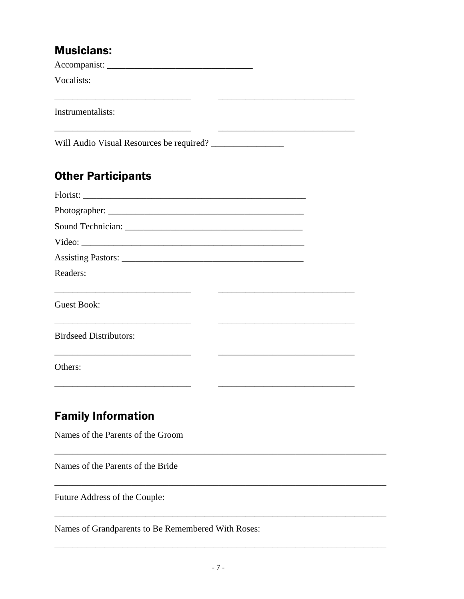#### **Musicians:**

Vocalists:

Instrumentalists:

### **Other Participants**

| Video:                        |  |  |
|-------------------------------|--|--|
|                               |  |  |
| Readers:                      |  |  |
|                               |  |  |
| Guest Book:                   |  |  |
|                               |  |  |
| <b>Birdseed Distributors:</b> |  |  |
|                               |  |  |
| Others:                       |  |  |

### **Family Information**

Names of the Parents of the Groom

Names of the Parents of the Bride

Future Address of the Couple:

Names of Grandparents to Be Remembered With Roses: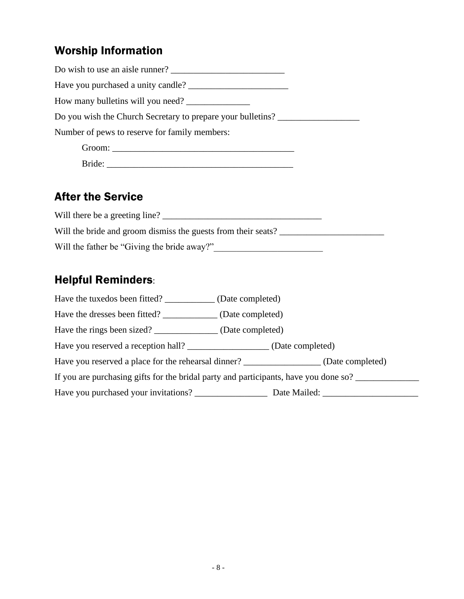### Worship Information

| Do wish to use an aisle runner?                             |  |
|-------------------------------------------------------------|--|
|                                                             |  |
| How many bulletins will you need?                           |  |
| Do you wish the Church Secretary to prepare your bulletins? |  |
| Number of pews to reserve for family members:               |  |
|                                                             |  |
| Bride:                                                      |  |

### After the Service

| Will there be a greeting line?                                |
|---------------------------------------------------------------|
| Will the bride and groom dismiss the guests from their seats? |
| Will the father be "Giving the bride away?"                   |

### Helpful Reminders:

| Have the tuxedos been fitted? (Date completed)                                       |                                                                                        |  |  |  |
|--------------------------------------------------------------------------------------|----------------------------------------------------------------------------------------|--|--|--|
| Have the dresses been fitted? _______________ (Date completed)                       |                                                                                        |  |  |  |
| Have the rings been sized? ________________ (Date completed)                         |                                                                                        |  |  |  |
| Have you reserved a reception hall? _______________________ (Date completed)         |                                                                                        |  |  |  |
|                                                                                      | Have you reserved a place for the rehearsal dinner? __________________(Date completed) |  |  |  |
| If you are purchasing gifts for the bridal party and participants, have you done so? |                                                                                        |  |  |  |
|                                                                                      |                                                                                        |  |  |  |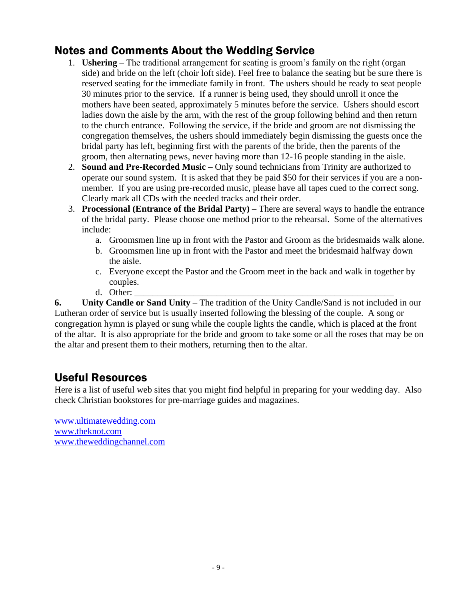### Notes and Comments About the Wedding Service

- 1. **Ushering**  The traditional arrangement for seating is groom's family on the right (organ side) and bride on the left (choir loft side). Feel free to balance the seating but be sure there is reserved seating for the immediate family in front. The ushers should be ready to seat people 30 minutes prior to the service. If a runner is being used, they should unroll it once the mothers have been seated, approximately 5 minutes before the service. Ushers should escort ladies down the aisle by the arm, with the rest of the group following behind and then return to the church entrance. Following the service, if the bride and groom are not dismissing the congregation themselves, the ushers should immediately begin dismissing the guests once the bridal party has left, beginning first with the parents of the bride, then the parents of the groom, then alternating pews, never having more than 12-16 people standing in the aisle.
- 2. **Sound and Pre-Recorded Music** Only sound technicians from Trinity are authorized to operate our sound system. It is asked that they be paid \$50 for their services if you are a nonmember. If you are using pre-recorded music, please have all tapes cued to the correct song. Clearly mark all CDs with the needed tracks and their order.
- 3. **Processional (Entrance of the Bridal Party)** There are several ways to handle the entrance of the bridal party. Please choose one method prior to the rehearsal. Some of the alternatives include:
	- a. Groomsmen line up in front with the Pastor and Groom as the bridesmaids walk alone.
	- b. Groomsmen line up in front with the Pastor and meet the bridesmaid halfway down the aisle.
	- c. Everyone except the Pastor and the Groom meet in the back and walk in together by couples.
	- d. Other:

**6. Unity Candle or Sand Unity** – The tradition of the Unity Candle/Sand is not included in our Lutheran order of service but is usually inserted following the blessing of the couple. A song or congregation hymn is played or sung while the couple lights the candle, which is placed at the front of the altar. It is also appropriate for the bride and groom to take some or all the roses that may be on the altar and present them to their mothers, returning then to the altar.

### Useful Resources

Here is a list of useful web sites that you might find helpful in preparing for your wedding day. Also check Christian bookstores for pre-marriage guides and magazines.

[www.ultimatewedding.com](http://www.ultimatewedding.com/) [www.theknot.com](http://www.theknot.com/) [www.theweddingchannel.com](http://www.theweddingchannel.com/)